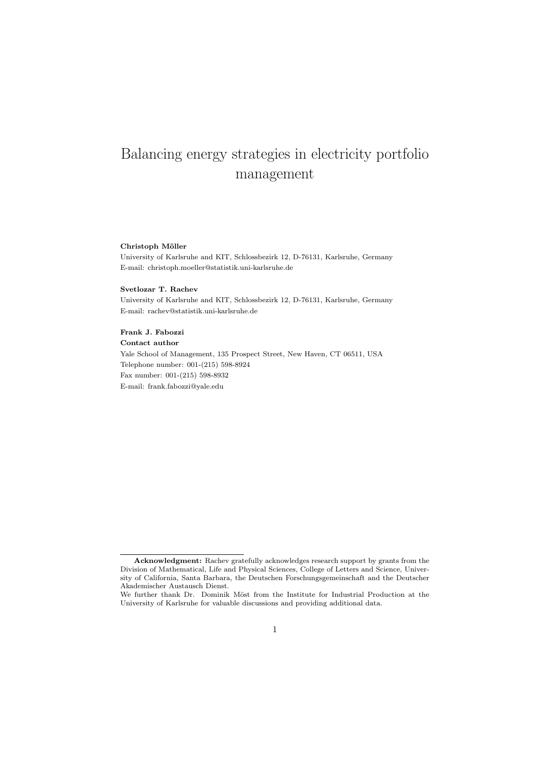# Balancing energy strategies in electricity portfolio management

#### Christoph Möller

University of Karlsruhe and KIT, Schlossbezirk 12, D-76131, Karlsruhe, Germany E-mail: christoph.moeller@statistik.uni-karlsruhe.de

#### Svetlozar T. Rachev

University of Karlsruhe and KIT, Schlossbezirk 12, D-76131, Karlsruhe, Germany E-mail: rachev@statistik.uni-karlsruhe.de

#### Frank J. Fabozzi

Contact author Yale School of Management, 135 Prospect Street, New Haven, CT 06511, USA Telephone number: 001-(215) 598-8924 Fax number: 001-(215) 598-8932 E-mail: frank.fabozzi@yale.edu

Acknowledgment: Rachev gratefully acknowledges research support by grants from the Division of Mathematical, Life and Physical Sciences, College of Letters and Science, University of California, Santa Barbara, the Deutschen Forschungsgemeinschaft and the Deutscher Akademischer Austausch Dienst.

We further thank Dr. Dominik Möst from the Institute for Industrial Production at the University of Karlsruhe for valuable discussions and providing additional data.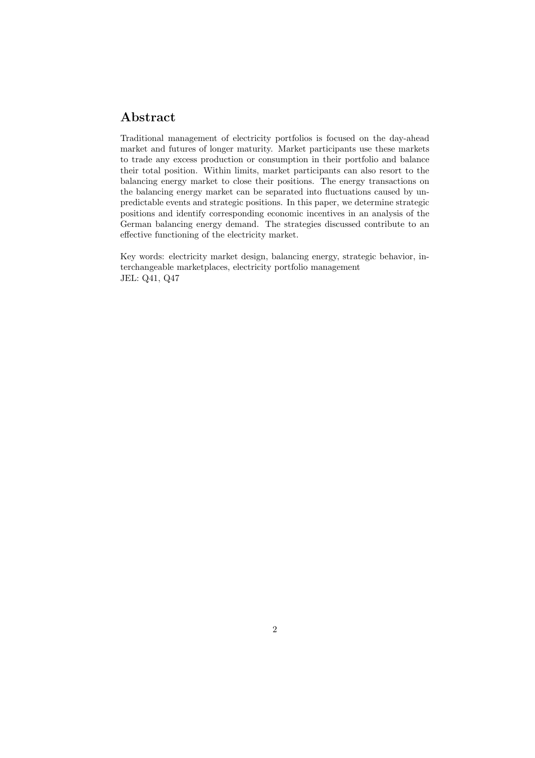# Abstract

Traditional management of electricity portfolios is focused on the day-ahead market and futures of longer maturity. Market participants use these markets to trade any excess production or consumption in their portfolio and balance their total position. Within limits, market participants can also resort to the balancing energy market to close their positions. The energy transactions on the balancing energy market can be separated into fluctuations caused by unpredictable events and strategic positions. In this paper, we determine strategic positions and identify corresponding economic incentives in an analysis of the German balancing energy demand. The strategies discussed contribute to an effective functioning of the electricity market.

Key words: electricity market design, balancing energy, strategic behavior, interchangeable marketplaces, electricity portfolio management JEL: Q41, Q47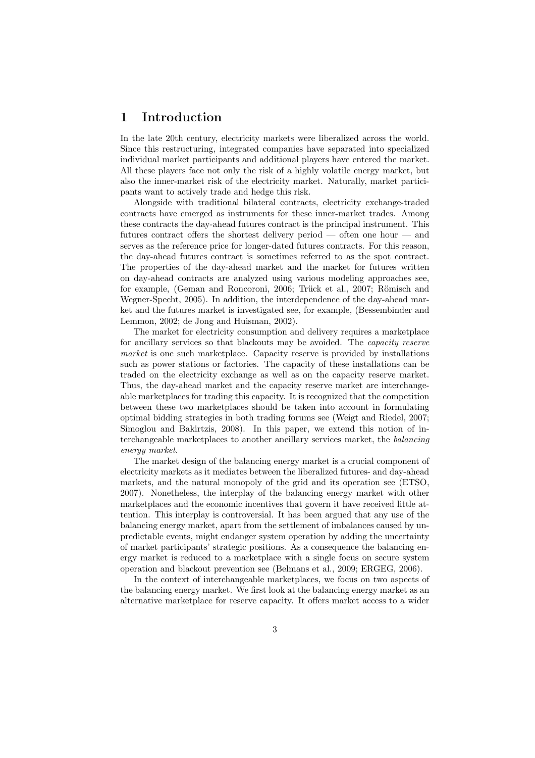# 1 Introduction

In the late 20th century, electricity markets were liberalized across the world. Since this restructuring, integrated companies have separated into specialized individual market participants and additional players have entered the market. All these players face not only the risk of a highly volatile energy market, but also the inner-market risk of the electricity market. Naturally, market participants want to actively trade and hedge this risk.

Alongside with traditional bilateral contracts, electricity exchange-traded contracts have emerged as instruments for these inner-market trades. Among these contracts the day-ahead futures contract is the principal instrument. This futures contract offers the shortest delivery period — often one hour — and serves as the reference price for longer-dated futures contracts. For this reason, the day-ahead futures contract is sometimes referred to as the spot contract. The properties of the day-ahead market and the market for futures written on day-ahead contracts are analyzed using various modeling approaches see, for example, (Geman and Roncoroni, 2006; Trück et al., 2007; Römisch and Wegner-Specht, 2005). In addition, the interdependence of the day-ahead market and the futures market is investigated see, for example, (Bessembinder and Lemmon, 2002; de Jong and Huisman, 2002).

The market for electricity consumption and delivery requires a marketplace for ancillary services so that blackouts may be avoided. The capacity reserve market is one such marketplace. Capacity reserve is provided by installations such as power stations or factories. The capacity of these installations can be traded on the electricity exchange as well as on the capacity reserve market. Thus, the day-ahead market and the capacity reserve market are interchangeable marketplaces for trading this capacity. It is recognized that the competition between these two marketplaces should be taken into account in formulating optimal bidding strategies in both trading forums see (Weigt and Riedel, 2007; Simoglou and Bakirtzis, 2008). In this paper, we extend this notion of interchangeable marketplaces to another ancillary services market, the *balancing* energy market.

The market design of the balancing energy market is a crucial component of electricity markets as it mediates between the liberalized futures- and day-ahead markets, and the natural monopoly of the grid and its operation see (ETSO, 2007). Nonetheless, the interplay of the balancing energy market with other marketplaces and the economic incentives that govern it have received little attention. This interplay is controversial. It has been argued that any use of the balancing energy market, apart from the settlement of imbalances caused by unpredictable events, might endanger system operation by adding the uncertainty of market participants' strategic positions. As a consequence the balancing energy market is reduced to a marketplace with a single focus on secure system operation and blackout prevention see (Belmans et al., 2009; ERGEG, 2006).

In the context of interchangeable marketplaces, we focus on two aspects of the balancing energy market. We first look at the balancing energy market as an alternative marketplace for reserve capacity. It offers market access to a wider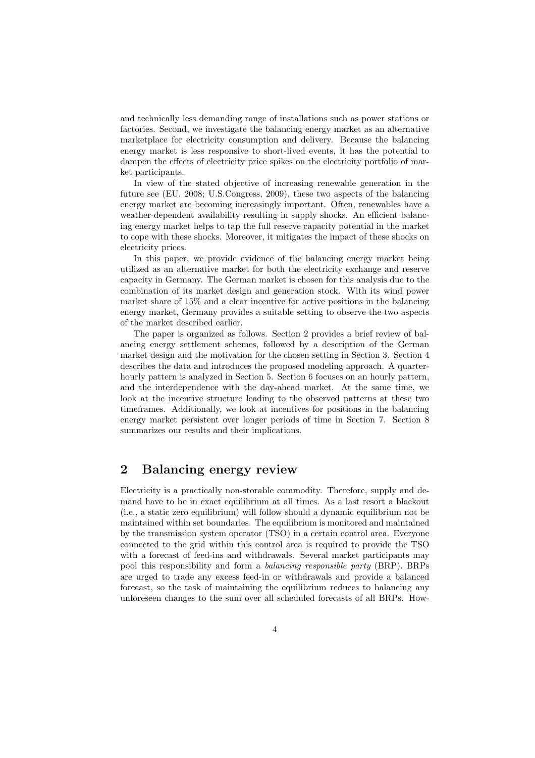and technically less demanding range of installations such as power stations or factories. Second, we investigate the balancing energy market as an alternative marketplace for electricity consumption and delivery. Because the balancing energy market is less responsive to short-lived events, it has the potential to dampen the effects of electricity price spikes on the electricity portfolio of market participants.

In view of the stated objective of increasing renewable generation in the future see (EU, 2008; U.S.Congress, 2009), these two aspects of the balancing energy market are becoming increasingly important. Often, renewables have a weather-dependent availability resulting in supply shocks. An efficient balancing energy market helps to tap the full reserve capacity potential in the market to cope with these shocks. Moreover, it mitigates the impact of these shocks on electricity prices.

In this paper, we provide evidence of the balancing energy market being utilized as an alternative market for both the electricity exchange and reserve capacity in Germany. The German market is chosen for this analysis due to the combination of its market design and generation stock. With its wind power market share of 15% and a clear incentive for active positions in the balancing energy market, Germany provides a suitable setting to observe the two aspects of the market described earlier.

The paper is organized as follows. Section 2 provides a brief review of balancing energy settlement schemes, followed by a description of the German market design and the motivation for the chosen setting in Section 3. Section 4 describes the data and introduces the proposed modeling approach. A quarterhourly pattern is analyzed in Section 5. Section 6 focuses on an hourly pattern, and the interdependence with the day-ahead market. At the same time, we look at the incentive structure leading to the observed patterns at these two timeframes. Additionally, we look at incentives for positions in the balancing energy market persistent over longer periods of time in Section 7. Section 8 summarizes our results and their implications.

# 2 Balancing energy review

Electricity is a practically non-storable commodity. Therefore, supply and demand have to be in exact equilibrium at all times. As a last resort a blackout (i.e., a static zero equilibrium) will follow should a dynamic equilibrium not be maintained within set boundaries. The equilibrium is monitored and maintained by the transmission system operator (TSO) in a certain control area. Everyone connected to the grid within this control area is required to provide the TSO with a forecast of feed-ins and withdrawals. Several market participants may pool this responsibility and form a balancing responsible party (BRP). BRPs are urged to trade any excess feed-in or withdrawals and provide a balanced forecast, so the task of maintaining the equilibrium reduces to balancing any unforeseen changes to the sum over all scheduled forecasts of all BRPs. How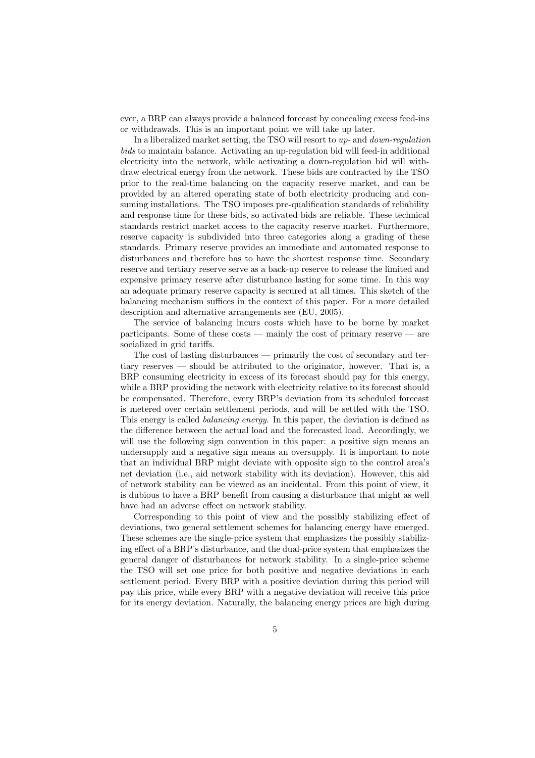ever, a BRP can always provide a balanced forecast by concealing excess feed-ins or withdrawals. This is an important point we will take up later.

In a liberalized market setting, the TSO will resort to up- and down-regulation bids to maintain balance. Activating an up-regulation bid will feed-in additional electricity into the network, while activating a down-regulation bid will withdraw electrical energy from the network. These bids are contracted by the TSO prior to the real-time balancing on the capacity reserve market, and can be provided by an altered operating state of both electricity producing and consuming installations. The TSO imposes pre-qualification standards of reliability and response time for these bids, so activated bids are reliable. These technical standards restrict market access to the capacity reserve market. Furthermore, reserve capacity is subdivided into three categories along a grading of these standards. Primary reserve provides an immediate and automated response to disturbances and therefore has to have the shortest response time. Secondary reserve and tertiary reserve serve as a back-up reserve to release the limited and expensive primary reserve after disturbance lasting for some time. In this way an adequate primary reserve capacity is secured at all times. This sketch of the balancing mechanism suffices in the context of this paper. For a more detailed description and alternative arrangements see (EU, 2005).

The service of balancing incurs costs which have to be borne by market participants. Some of these costs — mainly the cost of primary reserve — are socialized in grid tariffs.

The cost of lasting disturbances — primarily the cost of secondary and tertiary reserves — should be attributed to the originator, however. That is, a BRP consuming electricity in excess of its forecast should pay for this energy, while a BRP providing the network with electricity relative to its forecast should be compensated. Therefore, every BRP's deviation from its scheduled forecast is metered over certain settlement periods, and will be settled with the TSO. This energy is called balancing energy. In this paper, the deviation is defined as the difference between the actual load and the forecasted load. Accordingly, we will use the following sign convention in this paper: a positive sign means an undersupply and a negative sign means an oversupply. It is important to note that an individual BRP might deviate with opposite sign to the control area's net deviation (i.e., aid network stability with its deviation). However, this aid of network stability can be viewed as an incidental. From this point of view, it is dubious to have a BRP benefit from causing a disturbance that might as well have had an adverse effect on network stability.

Corresponding to this point of view and the possibly stabilizing effect of deviations, two general settlement schemes for balancing energy have emerged. These schemes are the single-price system that emphasizes the possibly stabilizing effect of a BRP's disturbance, and the dual-price system that emphasizes the general danger of disturbances for network stability. In a single-price scheme the TSO will set one price for both positive and negative deviations in each settlement period. Every BRP with a positive deviation during this period will pay this price, while every BRP with a negative deviation will receive this price for its energy deviation. Naturally, the balancing energy prices are high during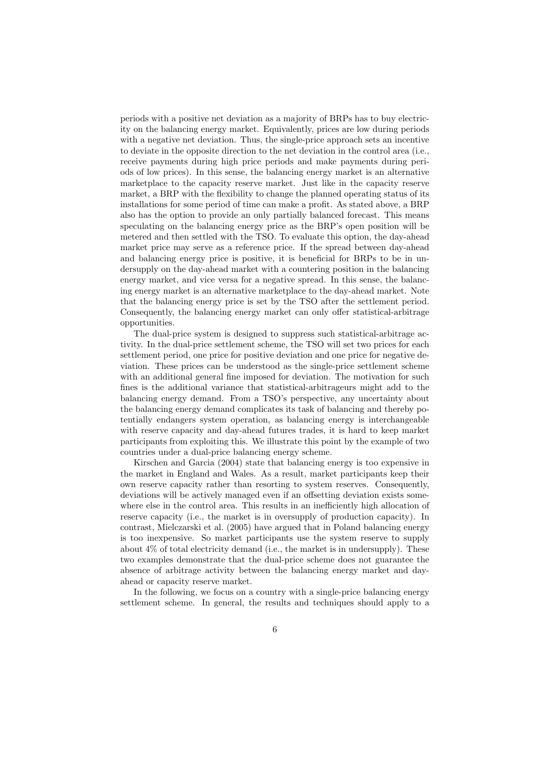periods with a positive net deviation as a majority of BRPs has to buy electricity on the balancing energy market. Equivalently, prices are low during periods with a negative net deviation. Thus, the single-price approach sets an incentive to deviate in the opposite direction to the net deviation in the control area (i.e., receive payments during high price periods and make payments during periods of low prices). In this sense, the balancing energy market is an alternative marketplace to the capacity reserve market. Just like in the capacity reserve market, a BRP with the flexibility to change the planned operating status of its installations for some period of time can make a profit. As stated above, a BRP also has the option to provide an only partially balanced forecast. This means speculating on the balancing energy price as the BRP's open position will be metered and then settled with the TSO. To evaluate this option, the day-ahead market price may serve as a reference price. If the spread between day-ahead and balancing energy price is positive, it is beneficial for BRPs to be in undersupply on the day-ahead market with a countering position in the balancing energy market, and vice versa for a negative spread. In this sense, the balancing energy market is an alternative marketplace to the day-ahead market. Note that the balancing energy price is set by the TSO after the settlement period. Consequently, the balancing energy market can only offer statistical-arbitrage opportunities.

The dual-price system is designed to suppress such statistical-arbitrage activity. In the dual-price settlement scheme, the TSO will set two prices for each settlement period, one price for positive deviation and one price for negative deviation. These prices can be understood as the single-price settlement scheme with an additional general fine imposed for deviation. The motivation for such fines is the additional variance that statistical-arbitrageurs might add to the balancing energy demand. From a TSO's perspective, any uncertainty about the balancing energy demand complicates its task of balancing and thereby potentially endangers system operation, as balancing energy is interchangeable with reserve capacity and day-ahead futures trades, it is hard to keep market participants from exploiting this. We illustrate this point by the example of two countries under a dual-price balancing energy scheme.

Kirschen and Garcia (2004) state that balancing energy is too expensive in the market in England and Wales. As a result, market participants keep their own reserve capacity rather than resorting to system reserves. Consequently, deviations will be actively managed even if an offsetting deviation exists somewhere else in the control area. This results in an inefficiently high allocation of reserve capacity (i.e., the market is in oversupply of production capacity). In contrast, Mielczarski et al. (2005) have argued that in Poland balancing energy is too inexpensive. So market participants use the system reserve to supply about 4% of total electricity demand (i.e., the market is in undersupply). These two examples demonstrate that the dual-price scheme does not guarantee the absence of arbitrage activity between the balancing energy market and dayahead or capacity reserve market.

In the following, we focus on a country with a single-price balancing energy settlement scheme. In general, the results and techniques should apply to a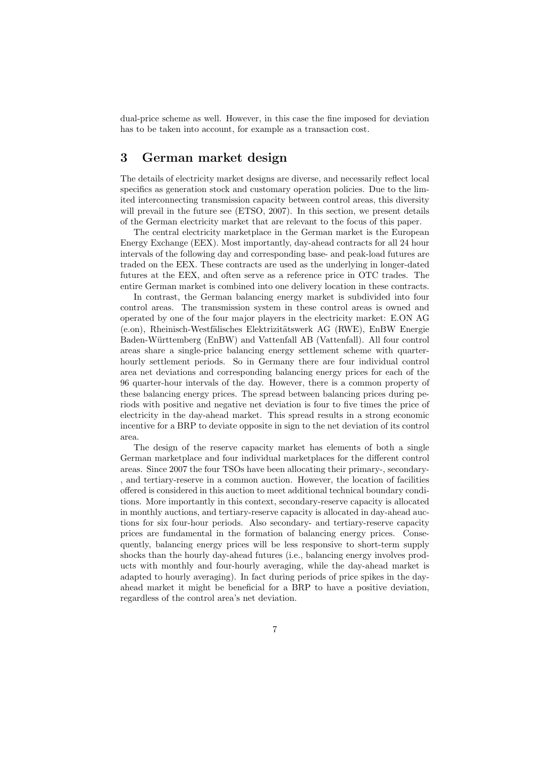dual-price scheme as well. However, in this case the fine imposed for deviation has to be taken into account, for example as a transaction cost.

## 3 German market design

The details of electricity market designs are diverse, and necessarily reflect local specifics as generation stock and customary operation policies. Due to the limited interconnecting transmission capacity between control areas, this diversity will prevail in the future see (ETSO, 2007). In this section, we present details of the German electricity market that are relevant to the focus of this paper.

The central electricity marketplace in the German market is the European Energy Exchange (EEX). Most importantly, day-ahead contracts for all 24 hour intervals of the following day and corresponding base- and peak-load futures are traded on the EEX. These contracts are used as the underlying in longer-dated futures at the EEX, and often serve as a reference price in OTC trades. The entire German market is combined into one delivery location in these contracts.

In contrast, the German balancing energy market is subdivided into four control areas. The transmission system in these control areas is owned and operated by one of the four major players in the electricity market: E.ON AG (e.on), Rheinisch-Westfälisches Elektrizitätswerk AG (RWE), EnBW Energie Baden-Württemberg (EnBW) and Vattenfall AB (Vattenfall). All four control areas share a single-price balancing energy settlement scheme with quarterhourly settlement periods. So in Germany there are four individual control area net deviations and corresponding balancing energy prices for each of the 96 quarter-hour intervals of the day. However, there is a common property of these balancing energy prices. The spread between balancing prices during periods with positive and negative net deviation is four to five times the price of electricity in the day-ahead market. This spread results in a strong economic incentive for a BRP to deviate opposite in sign to the net deviation of its control area.

The design of the reserve capacity market has elements of both a single German marketplace and four individual marketplaces for the different control areas. Since 2007 the four TSOs have been allocating their primary-, secondary- , and tertiary-reserve in a common auction. However, the location of facilities offered is considered in this auction to meet additional technical boundary conditions. More importantly in this context, secondary-reserve capacity is allocated in monthly auctions, and tertiary-reserve capacity is allocated in day-ahead auctions for six four-hour periods. Also secondary- and tertiary-reserve capacity prices are fundamental in the formation of balancing energy prices. Consequently, balancing energy prices will be less responsive to short-term supply shocks than the hourly day-ahead futures (i.e., balancing energy involves products with monthly and four-hourly averaging, while the day-ahead market is adapted to hourly averaging). In fact during periods of price spikes in the dayahead market it might be beneficial for a BRP to have a positive deviation, regardless of the control area's net deviation.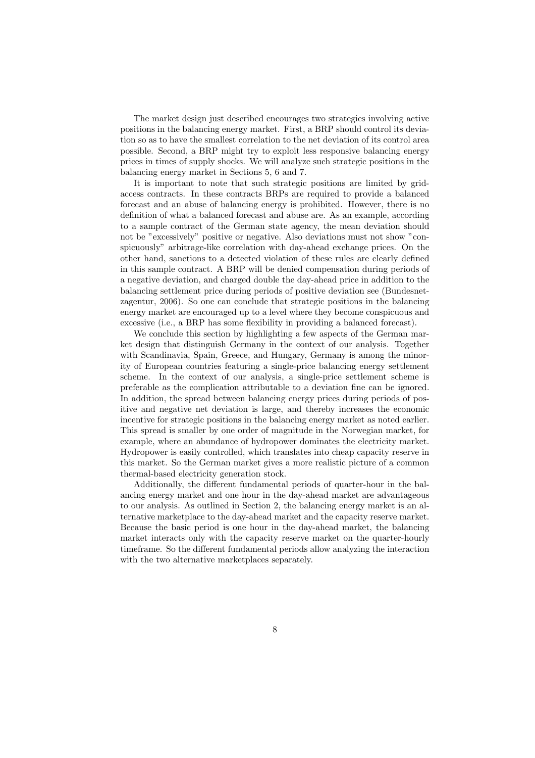The market design just described encourages two strategies involving active positions in the balancing energy market. First, a BRP should control its deviation so as to have the smallest correlation to the net deviation of its control area possible. Second, a BRP might try to exploit less responsive balancing energy prices in times of supply shocks. We will analyze such strategic positions in the balancing energy market in Sections 5, 6 and 7.

It is important to note that such strategic positions are limited by gridaccess contracts. In these contracts BRPs are required to provide a balanced forecast and an abuse of balancing energy is prohibited. However, there is no definition of what a balanced forecast and abuse are. As an example, according to a sample contract of the German state agency, the mean deviation should not be "excessively" positive or negative. Also deviations must not show "conspicuously" arbitrage-like correlation with day-ahead exchange prices. On the other hand, sanctions to a detected violation of these rules are clearly defined in this sample contract. A BRP will be denied compensation during periods of a negative deviation, and charged double the day-ahead price in addition to the balancing settlement price during periods of positive deviation see (Bundesnetzagentur, 2006). So one can conclude that strategic positions in the balancing energy market are encouraged up to a level where they become conspicuous and excessive (i.e., a BRP has some flexibility in providing a balanced forecast).

We conclude this section by highlighting a few aspects of the German market design that distinguish Germany in the context of our analysis. Together with Scandinavia, Spain, Greece, and Hungary, Germany is among the minority of European countries featuring a single-price balancing energy settlement scheme. In the context of our analysis, a single-price settlement scheme is preferable as the complication attributable to a deviation fine can be ignored. In addition, the spread between balancing energy prices during periods of positive and negative net deviation is large, and thereby increases the economic incentive for strategic positions in the balancing energy market as noted earlier. This spread is smaller by one order of magnitude in the Norwegian market, for example, where an abundance of hydropower dominates the electricity market. Hydropower is easily controlled, which translates into cheap capacity reserve in this market. So the German market gives a more realistic picture of a common thermal-based electricity generation stock.

Additionally, the different fundamental periods of quarter-hour in the balancing energy market and one hour in the day-ahead market are advantageous to our analysis. As outlined in Section 2, the balancing energy market is an alternative marketplace to the day-ahead market and the capacity reserve market. Because the basic period is one hour in the day-ahead market, the balancing market interacts only with the capacity reserve market on the quarter-hourly timeframe. So the different fundamental periods allow analyzing the interaction with the two alternative marketplaces separately.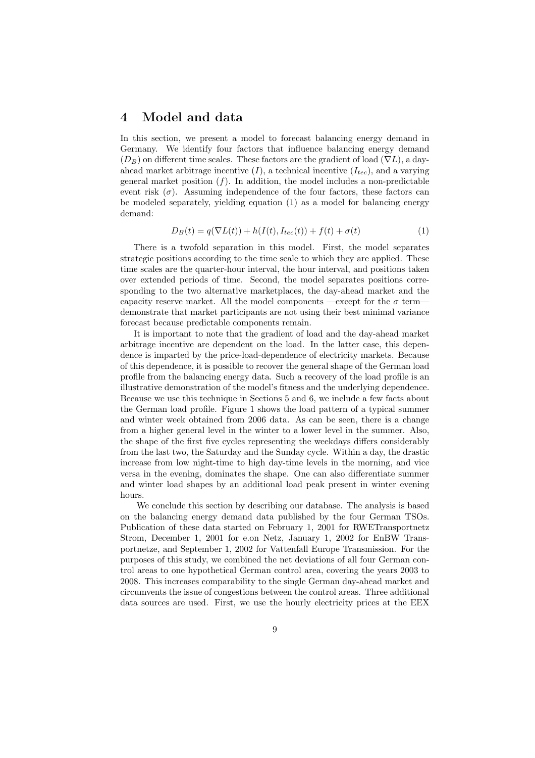#### 4 Model and data

In this section, we present a model to forecast balancing energy demand in Germany. We identify four factors that influence balancing energy demand  $(D_B)$  on different time scales. These factors are the gradient of load ( $\nabla L$ ), a dayahead market arbitrage incentive  $(I)$ , a technical incentive  $(I_{tec})$ , and a varying general market position  $(f)$ . In addition, the model includes a non-predictable event risk  $(\sigma)$ . Assuming independence of the four factors, these factors can be modeled separately, yielding equation (1) as a model for balancing energy demand:

$$
D_B(t) = q(\nabla L(t)) + h(I(t), I_{tec}(t)) + f(t) + \sigma(t)
$$
\n(1)

There is a twofold separation in this model. First, the model separates strategic positions according to the time scale to which they are applied. These time scales are the quarter-hour interval, the hour interval, and positions taken over extended periods of time. Second, the model separates positions corresponding to the two alternative marketplaces, the day-ahead market and the capacity reserve market. All the model components —except for the  $\sigma$  termdemonstrate that market participants are not using their best minimal variance forecast because predictable components remain.

It is important to note that the gradient of load and the day-ahead market arbitrage incentive are dependent on the load. In the latter case, this dependence is imparted by the price-load-dependence of electricity markets. Because of this dependence, it is possible to recover the general shape of the German load profile from the balancing energy data. Such a recovery of the load profile is an illustrative demonstration of the model's fitness and the underlying dependence. Because we use this technique in Sections 5 and 6, we include a few facts about the German load profile. Figure 1 shows the load pattern of a typical summer and winter week obtained from 2006 data. As can be seen, there is a change from a higher general level in the winter to a lower level in the summer. Also, the shape of the first five cycles representing the weekdays differs considerably from the last two, the Saturday and the Sunday cycle. Within a day, the drastic increase from low night-time to high day-time levels in the morning, and vice versa in the evening, dominates the shape. One can also differentiate summer and winter load shapes by an additional load peak present in winter evening hours.

We conclude this section by describing our database. The analysis is based on the balancing energy demand data published by the four German TSOs. Publication of these data started on February 1, 2001 for RWETransportnetz Strom, December 1, 2001 for e.on Netz, January 1, 2002 for EnBW Transportnetze, and September 1, 2002 for Vattenfall Europe Transmission. For the purposes of this study, we combined the net deviations of all four German control areas to one hypothetical German control area, covering the years 2003 to 2008. This increases comparability to the single German day-ahead market and circumvents the issue of congestions between the control areas. Three additional data sources are used. First, we use the hourly electricity prices at the EEX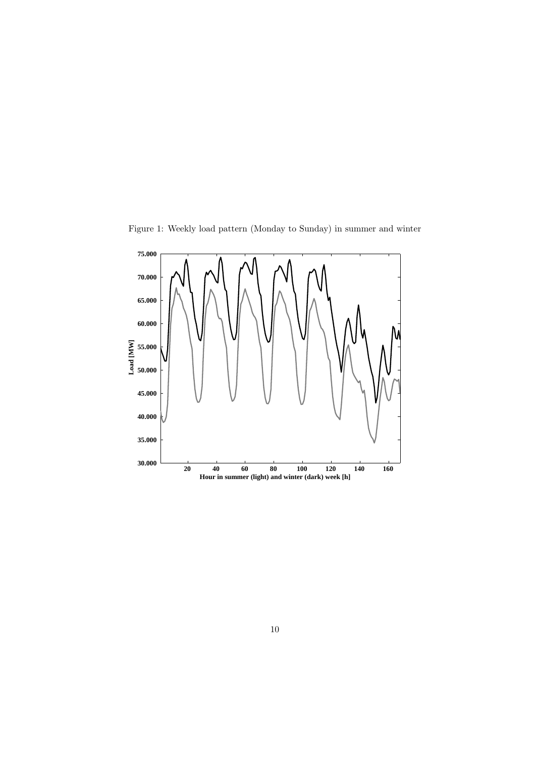

Figure 1: Weekly load pattern (Monday to Sunday) in summer and winter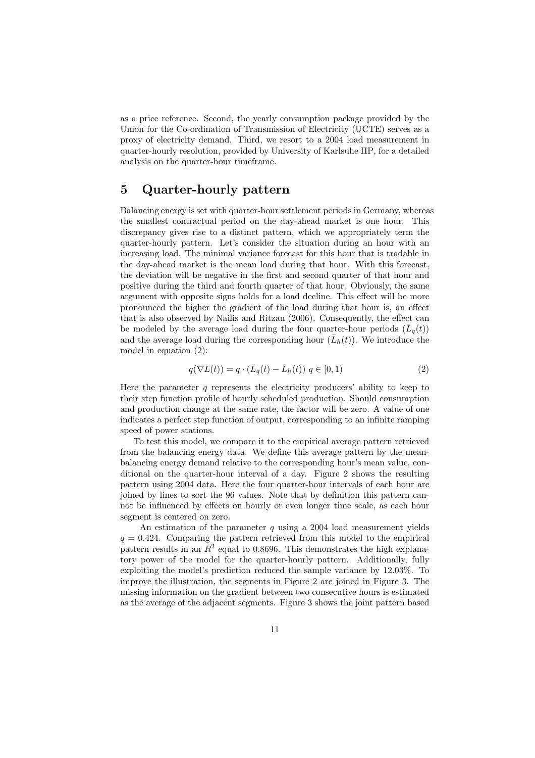as a price reference. Second, the yearly consumption package provided by the Union for the Co-ordination of Transmission of Electricity (UCTE) serves as a proxy of electricity demand. Third, we resort to a 2004 load measurement in quarter-hourly resolution, provided by University of Karlsuhe IIP, for a detailed analysis on the quarter-hour timeframe.

### 5 Quarter-hourly pattern

Balancing energy is set with quarter-hour settlement periods in Germany, whereas the smallest contractual period on the day-ahead market is one hour. This discrepancy gives rise to a distinct pattern, which we appropriately term the quarter-hourly pattern. Let's consider the situation during an hour with an increasing load. The minimal variance forecast for this hour that is tradable in the day-ahead market is the mean load during that hour. With this forecast, the deviation will be negative in the first and second quarter of that hour and positive during the third and fourth quarter of that hour. Obviously, the same argument with opposite signs holds for a load decline. This effect will be more pronounced the higher the gradient of the load during that hour is, an effect that is also observed by Nailis and Ritzau (2006). Consequently, the effect can be modeled by the average load during the four quarter-hour periods  $(\bar{L}_q(t))$ and the average load during the corresponding hour  $(\bar{L}_h(t))$ . We introduce the model in equation (2):

$$
q(\nabla L(t)) = q \cdot (\bar{L}_q(t) - \bar{L}_h(t)) \ q \in [0, 1)
$$
 (2)

Here the parameter  $q$  represents the electricity producers' ability to keep to their step function profile of hourly scheduled production. Should consumption and production change at the same rate, the factor will be zero. A value of one indicates a perfect step function of output, corresponding to an infinite ramping speed of power stations.

To test this model, we compare it to the empirical average pattern retrieved from the balancing energy data. We define this average pattern by the meanbalancing energy demand relative to the corresponding hour's mean value, conditional on the quarter-hour interval of a day. Figure 2 shows the resulting pattern using 2004 data. Here the four quarter-hour intervals of each hour are joined by lines to sort the 96 values. Note that by definition this pattern cannot be influenced by effects on hourly or even longer time scale, as each hour segment is centered on zero.

An estimation of the parameter q using a 2004 load measurement yields  $q = 0.424$ . Comparing the pattern retrieved from this model to the empirical pattern results in an  $R^2$  equal to 0.8696. This demonstrates the high explanatory power of the model for the quarter-hourly pattern. Additionally, fully exploiting the model's prediction reduced the sample variance by 12.03%. To improve the illustration, the segments in Figure 2 are joined in Figure 3. The missing information on the gradient between two consecutive hours is estimated as the average of the adjacent segments. Figure 3 shows the joint pattern based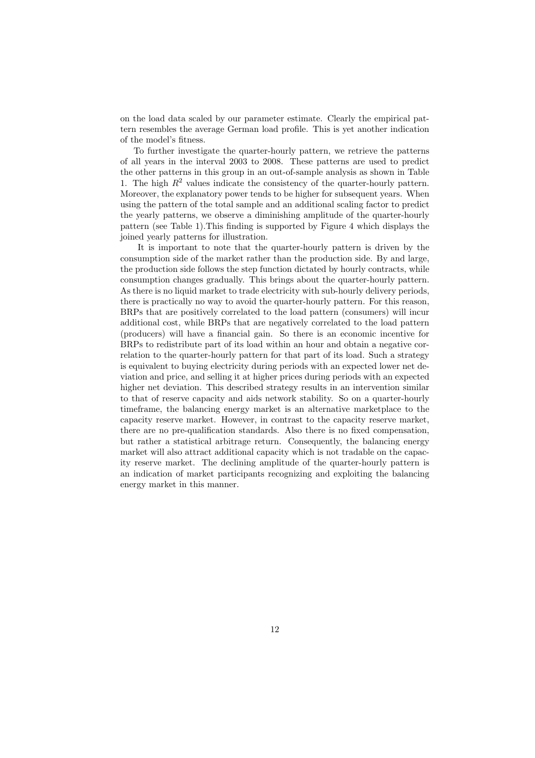on the load data scaled by our parameter estimate. Clearly the empirical pattern resembles the average German load profile. This is yet another indication of the model's fitness.

To further investigate the quarter-hourly pattern, we retrieve the patterns of all years in the interval 2003 to 2008. These patterns are used to predict the other patterns in this group in an out-of-sample analysis as shown in Table 1. The high  $R^2$  values indicate the consistency of the quarter-hourly pattern. Moreover, the explanatory power tends to be higher for subsequent years. When using the pattern of the total sample and an additional scaling factor to predict the yearly patterns, we observe a diminishing amplitude of the quarter-hourly pattern (see Table 1).This finding is supported by Figure 4 which displays the joined yearly patterns for illustration.

It is important to note that the quarter-hourly pattern is driven by the consumption side of the market rather than the production side. By and large, the production side follows the step function dictated by hourly contracts, while consumption changes gradually. This brings about the quarter-hourly pattern. As there is no liquid market to trade electricity with sub-hourly delivery periods, there is practically no way to avoid the quarter-hourly pattern. For this reason, BRPs that are positively correlated to the load pattern (consumers) will incur additional cost, while BRPs that are negatively correlated to the load pattern (producers) will have a financial gain. So there is an economic incentive for BRPs to redistribute part of its load within an hour and obtain a negative correlation to the quarter-hourly pattern for that part of its load. Such a strategy is equivalent to buying electricity during periods with an expected lower net deviation and price, and selling it at higher prices during periods with an expected higher net deviation. This described strategy results in an intervention similar to that of reserve capacity and aids network stability. So on a quarter-hourly timeframe, the balancing energy market is an alternative marketplace to the capacity reserve market. However, in contrast to the capacity reserve market, there are no pre-qualification standards. Also there is no fixed compensation, but rather a statistical arbitrage return. Consequently, the balancing energy market will also attract additional capacity which is not tradable on the capacity reserve market. The declining amplitude of the quarter-hourly pattern is an indication of market participants recognizing and exploiting the balancing energy market in this manner.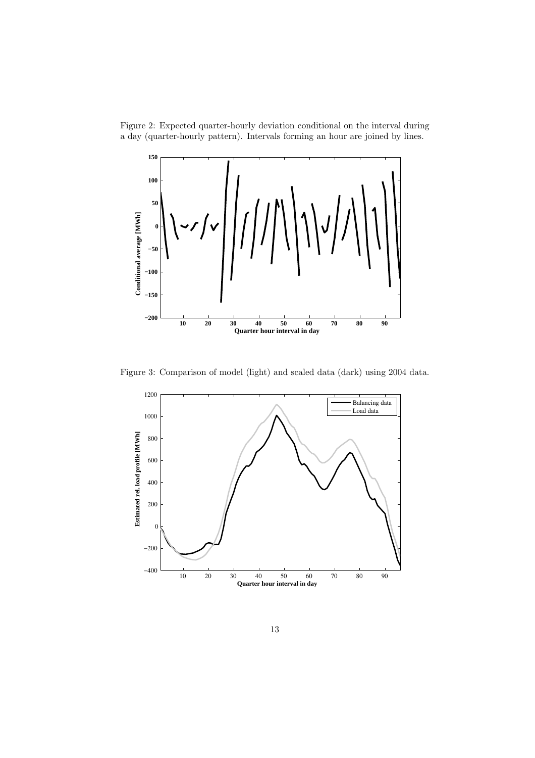Figure 2: Expected quarter-hourly deviation conditional on the interval during a day (quarter-hourly pattern). Intervals forming an hour are joined by lines.



Figure 3: Comparison of model (light) and scaled data (dark) using 2004 data.

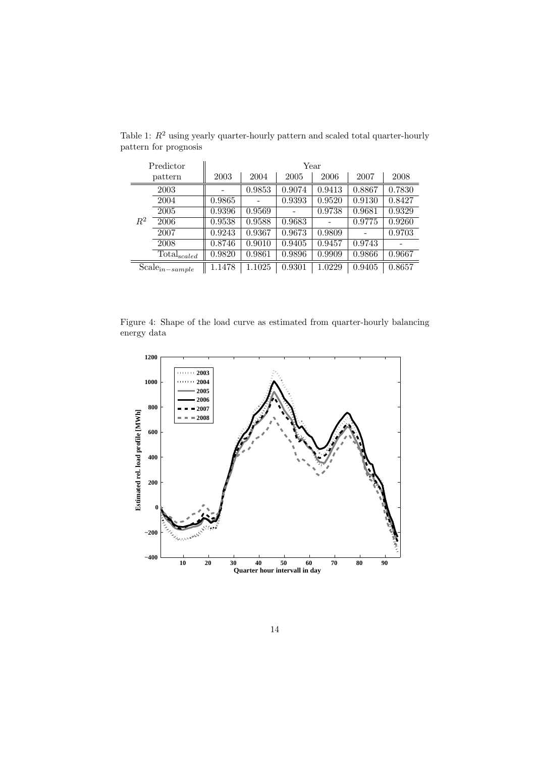| Predictor           |                           | Year   |        |        |        |        |        |  |
|---------------------|---------------------------|--------|--------|--------|--------|--------|--------|--|
| pattern             |                           | 2003   | 2004   | 2005   | 2006   | 2007   | 2008   |  |
|                     | 2003                      |        | 0.9853 | 0.9074 | 0.9413 | 0.8867 | 0.7830 |  |
| $\,R^2$             | 2004                      | 0.9865 |        | 0.9393 | 0.9520 | 0.9130 | 0.8427 |  |
|                     | 2005                      | 0.9396 | 0.9569 |        | 0.9738 | 0.9681 | 0.9329 |  |
|                     | 2006                      | 0.9538 | 0.9588 | 0.9683 |        | 0.9775 | 0.9260 |  |
|                     | 2007                      | 0.9243 | 0.9367 | 0.9673 | 0.9809 |        | 0.9703 |  |
|                     | 2008                      | 0.8746 | 0.9010 | 0.9405 | 0.9457 | 0.9743 |        |  |
|                     | $\mathrm{Total}_{scaled}$ | 0.9820 | 0.9861 | 0.9896 | 0.9909 | 0.9866 | 0.9667 |  |
| $Scale_{in-sample}$ |                           | 1.1478 | 1.1025 | 0.9301 | 1.0229 | 0.9405 | 0.8657 |  |

Table 1:  $\mathbb{R}^2$  using yearly quarter-hourly pattern and scaled total quarter-hourly pattern for prognosis

Figure 4: Shape of the load curve as estimated from quarter-hourly balancing energy data

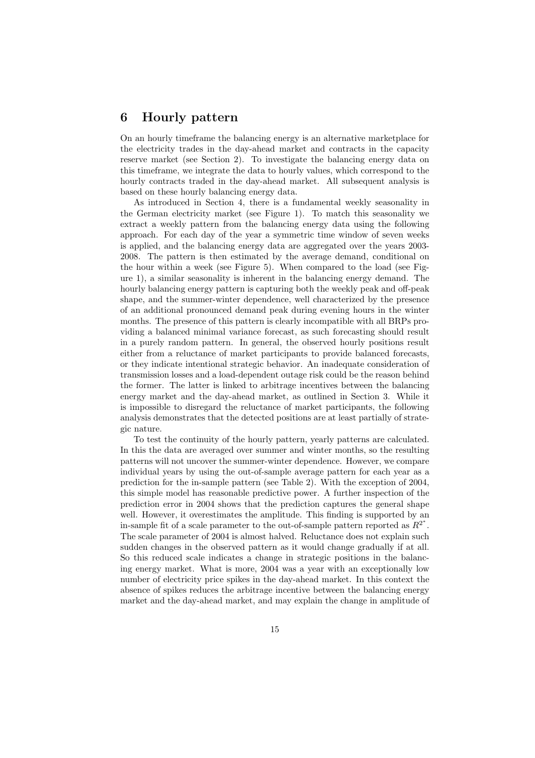### 6 Hourly pattern

On an hourly timeframe the balancing energy is an alternative marketplace for the electricity trades in the day-ahead market and contracts in the capacity reserve market (see Section 2). To investigate the balancing energy data on this timeframe, we integrate the data to hourly values, which correspond to the hourly contracts traded in the day-ahead market. All subsequent analysis is based on these hourly balancing energy data.

As introduced in Section 4, there is a fundamental weekly seasonality in the German electricity market (see Figure 1). To match this seasonality we extract a weekly pattern from the balancing energy data using the following approach. For each day of the year a symmetric time window of seven weeks is applied, and the balancing energy data are aggregated over the years 2003- 2008. The pattern is then estimated by the average demand, conditional on the hour within a week (see Figure 5). When compared to the load (see Figure 1), a similar seasonality is inherent in the balancing energy demand. The hourly balancing energy pattern is capturing both the weekly peak and off-peak shape, and the summer-winter dependence, well characterized by the presence of an additional pronounced demand peak during evening hours in the winter months. The presence of this pattern is clearly incompatible with all BRPs providing a balanced minimal variance forecast, as such forecasting should result in a purely random pattern. In general, the observed hourly positions result either from a reluctance of market participants to provide balanced forecasts, or they indicate intentional strategic behavior. An inadequate consideration of transmission losses and a load-dependent outage risk could be the reason behind the former. The latter is linked to arbitrage incentives between the balancing energy market and the day-ahead market, as outlined in Section 3. While it is impossible to disregard the reluctance of market participants, the following analysis demonstrates that the detected positions are at least partially of strategic nature.

To test the continuity of the hourly pattern, yearly patterns are calculated. In this the data are averaged over summer and winter months, so the resulting patterns will not uncover the summer-winter dependence. However, we compare individual years by using the out-of-sample average pattern for each year as a prediction for the in-sample pattern (see Table 2). With the exception of 2004, this simple model has reasonable predictive power. A further inspection of the prediction error in 2004 shows that the prediction captures the general shape well. However, it overestimates the amplitude. This finding is supported by an in-sample fit of a scale parameter to the out-of-sample pattern reported as  $R^{2^*}$ . The scale parameter of 2004 is almost halved. Reluctance does not explain such sudden changes in the observed pattern as it would change gradually if at all. So this reduced scale indicates a change in strategic positions in the balancing energy market. What is more, 2004 was a year with an exceptionally low number of electricity price spikes in the day-ahead market. In this context the absence of spikes reduces the arbitrage incentive between the balancing energy market and the day-ahead market, and may explain the change in amplitude of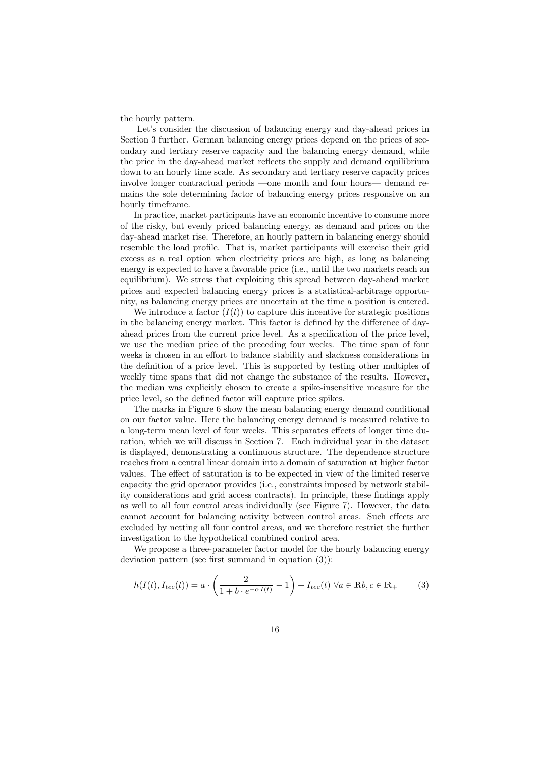the hourly pattern.

Let's consider the discussion of balancing energy and day-ahead prices in Section 3 further. German balancing energy prices depend on the prices of secondary and tertiary reserve capacity and the balancing energy demand, while the price in the day-ahead market reflects the supply and demand equilibrium down to an hourly time scale. As secondary and tertiary reserve capacity prices involve longer contractual periods —one month and four hours— demand remains the sole determining factor of balancing energy prices responsive on an hourly timeframe.

In practice, market participants have an economic incentive to consume more of the risky, but evenly priced balancing energy, as demand and prices on the day-ahead market rise. Therefore, an hourly pattern in balancing energy should resemble the load profile. That is, market participants will exercise their grid excess as a real option when electricity prices are high, as long as balancing energy is expected to have a favorable price (i.e., until the two markets reach an equilibrium). We stress that exploiting this spread between day-ahead market prices and expected balancing energy prices is a statistical-arbitrage opportunity, as balancing energy prices are uncertain at the time a position is entered.

We introduce a factor  $(I(t))$  to capture this incentive for strategic positions in the balancing energy market. This factor is defined by the difference of dayahead prices from the current price level. As a specification of the price level, we use the median price of the preceding four weeks. The time span of four weeks is chosen in an effort to balance stability and slackness considerations in the definition of a price level. This is supported by testing other multiples of weekly time spans that did not change the substance of the results. However, the median was explicitly chosen to create a spike-insensitive measure for the price level, so the defined factor will capture price spikes.

The marks in Figure 6 show the mean balancing energy demand conditional on our factor value. Here the balancing energy demand is measured relative to a long-term mean level of four weeks. This separates effects of longer time duration, which we will discuss in Section 7. Each individual year in the dataset is displayed, demonstrating a continuous structure. The dependence structure reaches from a central linear domain into a domain of saturation at higher factor values. The effect of saturation is to be expected in view of the limited reserve capacity the grid operator provides (i.e., constraints imposed by network stability considerations and grid access contracts). In principle, these findings apply as well to all four control areas individually (see Figure 7). However, the data cannot account for balancing activity between control areas. Such effects are excluded by netting all four control areas, and we therefore restrict the further investigation to the hypothetical combined control area.

We propose a three-parameter factor model for the hourly balancing energy deviation pattern (see first summand in equation (3)):

$$
h(I(t), I_{tec}(t)) = a \cdot \left(\frac{2}{1 + b \cdot e^{-c \cdot I(t)}} - 1\right) + I_{tec}(t) \,\forall a \in \mathbb{R}b, c \in \mathbb{R}_+ \tag{3}
$$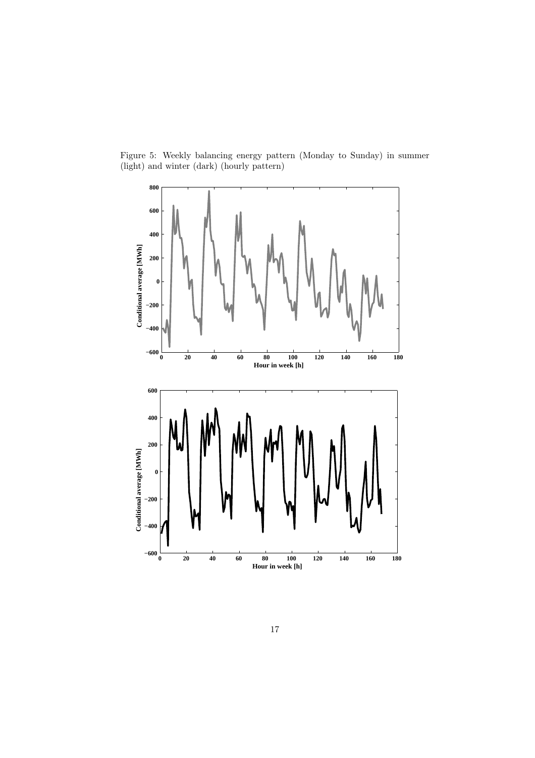

Figure 5: Weekly balancing energy pattern (Monday to Sunday) in summer (light) and winter (dark) (hourly pattern)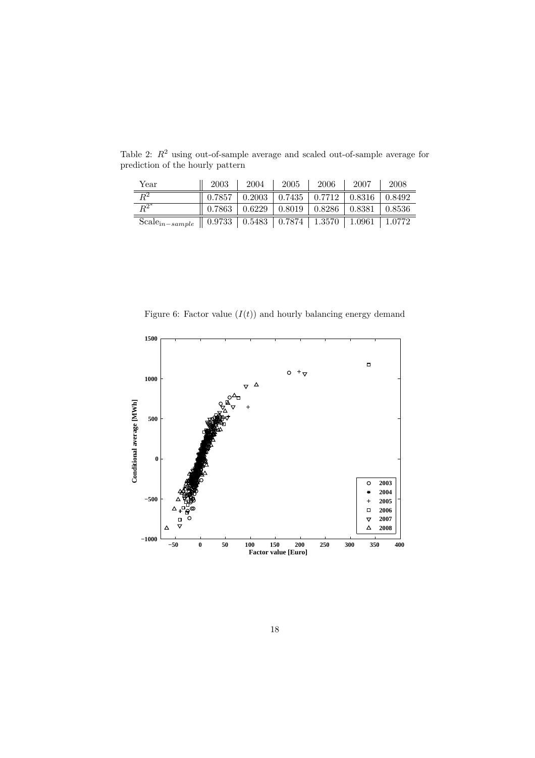| Year                                                                              | 2003                                                                                                              | 2004 | 2005   2006   2007 | -2008 |
|-----------------------------------------------------------------------------------|-------------------------------------------------------------------------------------------------------------------|------|--------------------|-------|
| $R^2$                                                                             | $\parallel$ 0.7857 $\parallel$ 0.2003 $\parallel$ 0.7435 $\parallel$ 0.7712 $\parallel$ 0.8316 $\parallel$ 0.8492 |      |                    |       |
| $R^{2^*}$                                                                         | $\parallel$ 0.7863 $\parallel$ 0.6229 $\parallel$ 0.8019 $\parallel$ 0.8286 $\parallel$ 0.8381 $\parallel$ 0.8536 |      |                    |       |
| Scale <sub>in-sample</sub>    0.9733   0.5483   0.7874   1.3570   1.0961   1.0772 |                                                                                                                   |      |                    |       |

Table 2:  $R^2$  using out-of-sample average and scaled out-of-sample average for prediction of the hourly pattern

Figure 6: Factor value  $(I(t))$  and hourly balancing energy demand

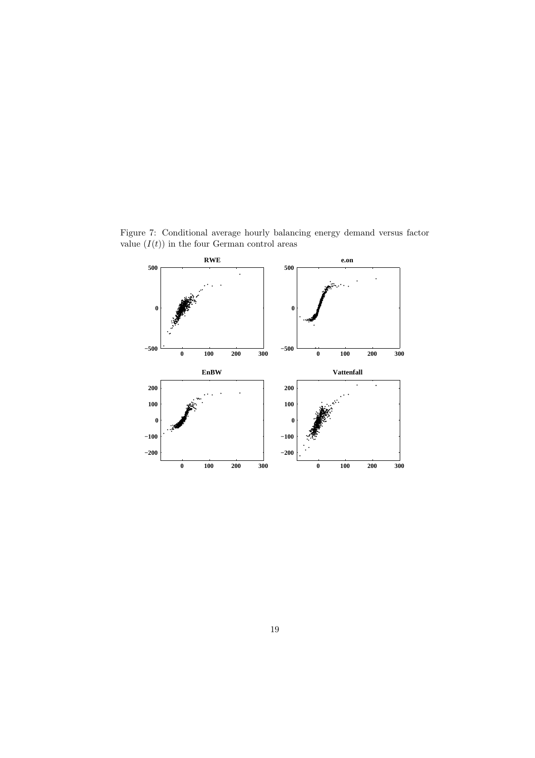Figure 7: Conditional average hourly balancing energy demand versus factor value  $(I(t))$  in the four German control areas

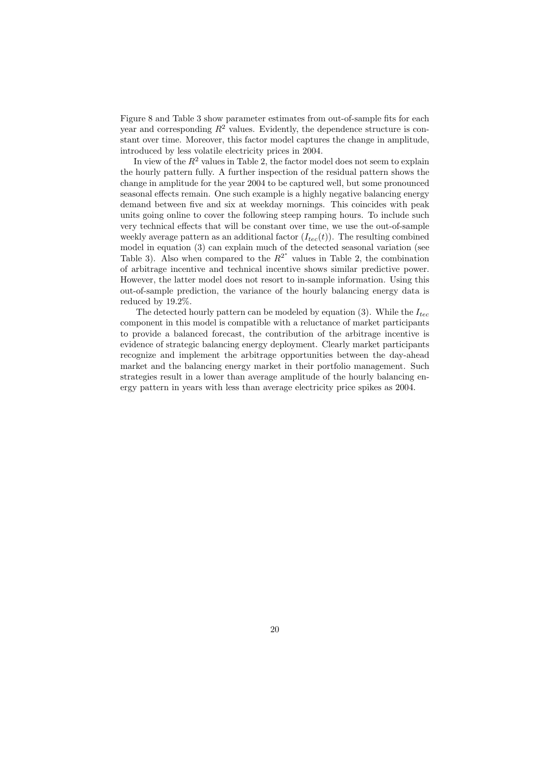Figure 8 and Table 3 show parameter estimates from out-of-sample fits for each year and corresponding  $R^2$  values. Evidently, the dependence structure is constant over time. Moreover, this factor model captures the change in amplitude, introduced by less volatile electricity prices in 2004.

In view of the  $R^2$  values in Table 2, the factor model does not seem to explain the hourly pattern fully. A further inspection of the residual pattern shows the change in amplitude for the year 2004 to be captured well, but some pronounced seasonal effects remain. One such example is a highly negative balancing energy demand between five and six at weekday mornings. This coincides with peak units going online to cover the following steep ramping hours. To include such very technical effects that will be constant over time, we use the out-of-sample weekly average pattern as an additional factor  $(I_{tec}(t))$ . The resulting combined model in equation (3) can explain much of the detected seasonal variation (see Table 3). Also when compared to the  $R^{2^*}$  values in Table 2, the combination of arbitrage incentive and technical incentive shows similar predictive power. However, the latter model does not resort to in-sample information. Using this out-of-sample prediction, the variance of the hourly balancing energy data is reduced by 19.2%.

The detected hourly pattern can be modeled by equation (3). While the  $I_{tec}$ component in this model is compatible with a reluctance of market participants to provide a balanced forecast, the contribution of the arbitrage incentive is evidence of strategic balancing energy deployment. Clearly market participants recognize and implement the arbitrage opportunities between the day-ahead market and the balancing energy market in their portfolio management. Such strategies result in a lower than average amplitude of the hourly balancing energy pattern in years with less than average electricity price spikes as 2004.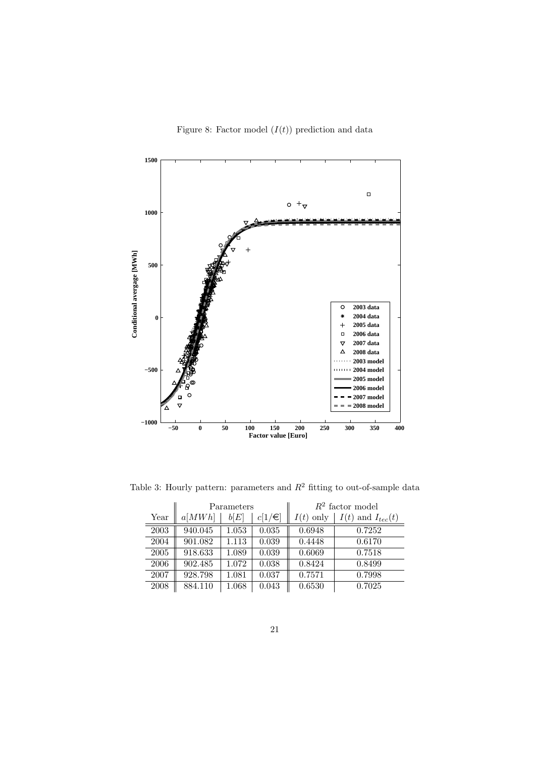Figure 8: Factor model  $(I(t))$  prediction and data



Table 3: Hourly pattern: parameters and  $R^2$  fitting to out-of-sample data

|      |         | Parameters |                 | $R^2$ factor model |                         |  |
|------|---------|------------|-----------------|--------------------|-------------------------|--|
| Year | a[MWh]  | b[E]       | $c[1/\epsilon]$ | $I(t)$ only        | $I(t)$ and $I_{tec}(t)$ |  |
| 2003 | 940.045 | 1.053      | 0.035           | 0.6948             | 0.7252                  |  |
| 2004 | 901.082 | 1.113      | 0.039           | 0.4448             | 0.6170                  |  |
| 2005 | 918.633 | 1.089      | 0.039           | 0.6069             | 0.7518                  |  |
| 2006 | 902.485 | 1.072      | 0.038           | 0.8424             | 0.8499                  |  |
| 2007 | 928.798 | 1.081      | 0.037           | 0.7571             | 0.7998                  |  |
| 2008 | 884.110 | 1.068      | 0.043           | 0.6530             | 0.7025                  |  |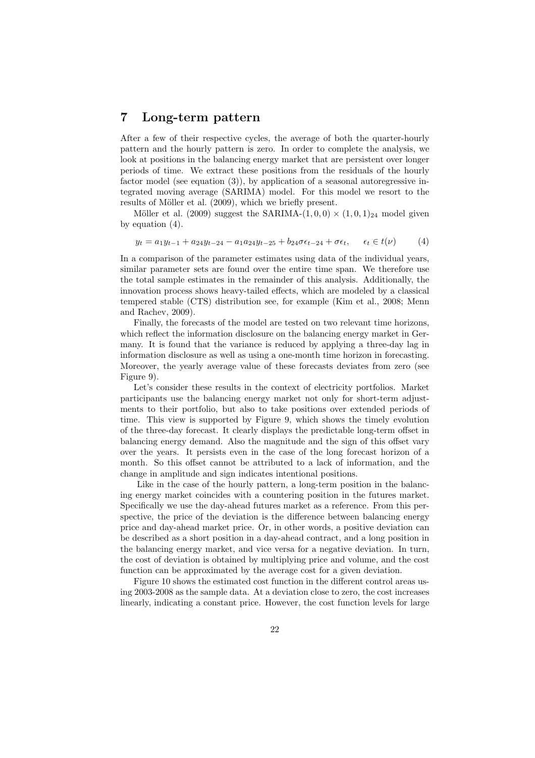#### 7 Long-term pattern

After a few of their respective cycles, the average of both the quarter-hourly pattern and the hourly pattern is zero. In order to complete the analysis, we look at positions in the balancing energy market that are persistent over longer periods of time. We extract these positions from the residuals of the hourly factor model (see equation (3)), by application of a seasonal autoregressive integrated moving average (SARIMA) model. For this model we resort to the results of Möller et al. (2009), which we briefly present.

Möller et al. (2009) suggest the SARIMA- $(1,0,0) \times (1,0,1)_{24}$  model given by equation (4).

$$
y_t = a_1 y_{t-1} + a_{24} y_{t-24} - a_1 a_{24} y_{t-25} + b_{24} \sigma \epsilon_{t-24} + \sigma \epsilon_t, \quad \epsilon_t \in t(\nu) \tag{4}
$$

In a comparison of the parameter estimates using data of the individual years, similar parameter sets are found over the entire time span. We therefore use the total sample estimates in the remainder of this analysis. Additionally, the innovation process shows heavy-tailed effects, which are modeled by a classical tempered stable (CTS) distribution see, for example (Kim et al., 2008; Menn and Rachev, 2009).

Finally, the forecasts of the model are tested on two relevant time horizons, which reflect the information disclosure on the balancing energy market in Germany. It is found that the variance is reduced by applying a three-day lag in information disclosure as well as using a one-month time horizon in forecasting. Moreover, the yearly average value of these forecasts deviates from zero (see Figure 9).

Let's consider these results in the context of electricity portfolios. Market participants use the balancing energy market not only for short-term adjustments to their portfolio, but also to take positions over extended periods of time. This view is supported by Figure 9, which shows the timely evolution of the three-day forecast. It clearly displays the predictable long-term offset in balancing energy demand. Also the magnitude and the sign of this offset vary over the years. It persists even in the case of the long forecast horizon of a month. So this offset cannot be attributed to a lack of information, and the change in amplitude and sign indicates intentional positions.

Like in the case of the hourly pattern, a long-term position in the balancing energy market coincides with a countering position in the futures market. Specifically we use the day-ahead futures market as a reference. From this perspective, the price of the deviation is the difference between balancing energy price and day-ahead market price. Or, in other words, a positive deviation can be described as a short position in a day-ahead contract, and a long position in the balancing energy market, and vice versa for a negative deviation. In turn, the cost of deviation is obtained by multiplying price and volume, and the cost function can be approximated by the average cost for a given deviation.

Figure 10 shows the estimated cost function in the different control areas using 2003-2008 as the sample data. At a deviation close to zero, the cost increases linearly, indicating a constant price. However, the cost function levels for large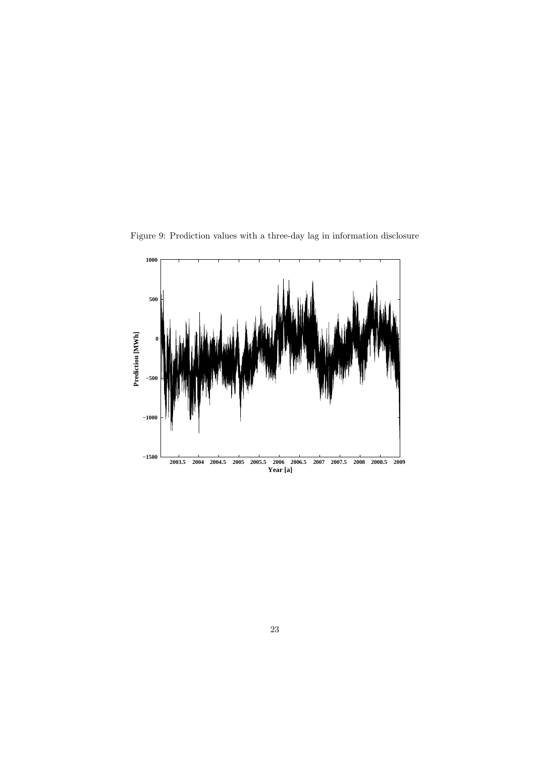

Figure 9: Prediction values with a three-day lag in information disclosure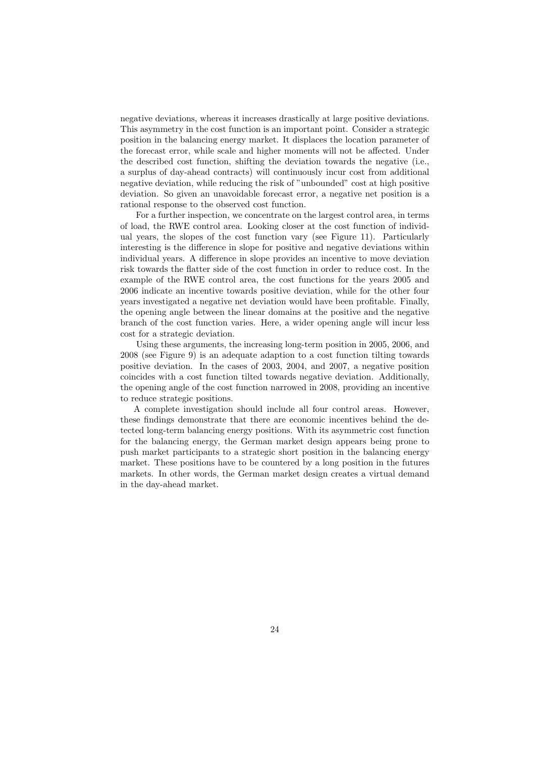negative deviations, whereas it increases drastically at large positive deviations. This asymmetry in the cost function is an important point. Consider a strategic position in the balancing energy market. It displaces the location parameter of the forecast error, while scale and higher moments will not be affected. Under the described cost function, shifting the deviation towards the negative (i.e., a surplus of day-ahead contracts) will continuously incur cost from additional negative deviation, while reducing the risk of "unbounded" cost at high positive deviation. So given an unavoidable forecast error, a negative net position is a rational response to the observed cost function.

For a further inspection, we concentrate on the largest control area, in terms of load, the RWE control area. Looking closer at the cost function of individual years, the slopes of the cost function vary (see Figure 11). Particularly interesting is the difference in slope for positive and negative deviations within individual years. A difference in slope provides an incentive to move deviation risk towards the flatter side of the cost function in order to reduce cost. In the example of the RWE control area, the cost functions for the years 2005 and 2006 indicate an incentive towards positive deviation, while for the other four years investigated a negative net deviation would have been profitable. Finally, the opening angle between the linear domains at the positive and the negative branch of the cost function varies. Here, a wider opening angle will incur less cost for a strategic deviation.

Using these arguments, the increasing long-term position in 2005, 2006, and 2008 (see Figure 9) is an adequate adaption to a cost function tilting towards positive deviation. In the cases of 2003, 2004, and 2007, a negative position coincides with a cost function tilted towards negative deviation. Additionally, the opening angle of the cost function narrowed in 2008, providing an incentive to reduce strategic positions.

A complete investigation should include all four control areas. However, these findings demonstrate that there are economic incentives behind the detected long-term balancing energy positions. With its asymmetric cost function for the balancing energy, the German market design appears being prone to push market participants to a strategic short position in the balancing energy market. These positions have to be countered by a long position in the futures markets. In other words, the German market design creates a virtual demand in the day-ahead market.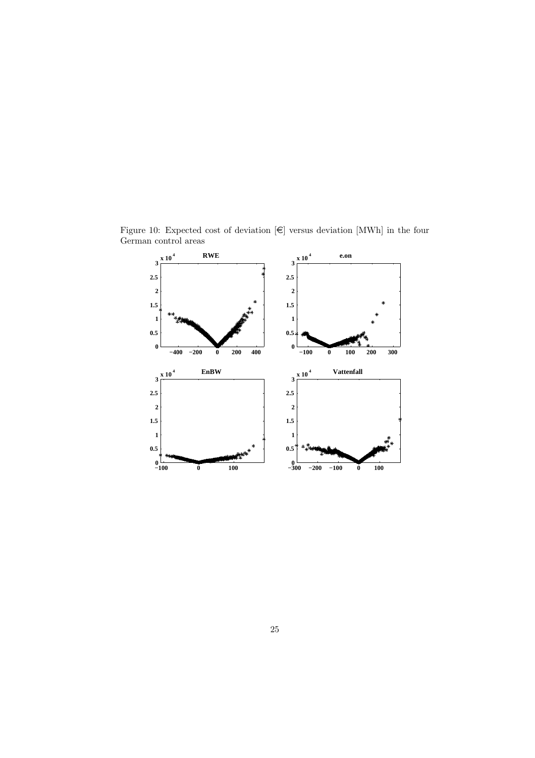

Figure 10: Expected cost of deviation  $[\in]$  versus deviation [MWh] in the four German control areas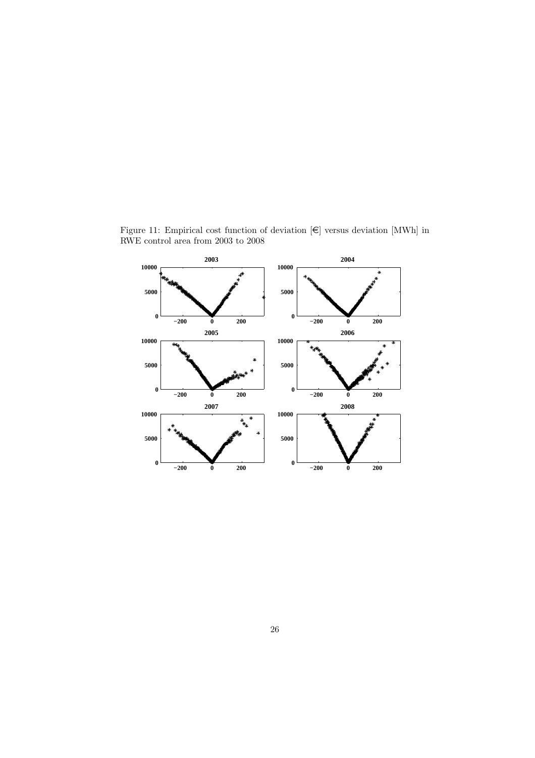Figure 11: Empirical cost function of deviation  $[\in]$  versus deviation [MWh] in RWE control area from 2003 to 2008

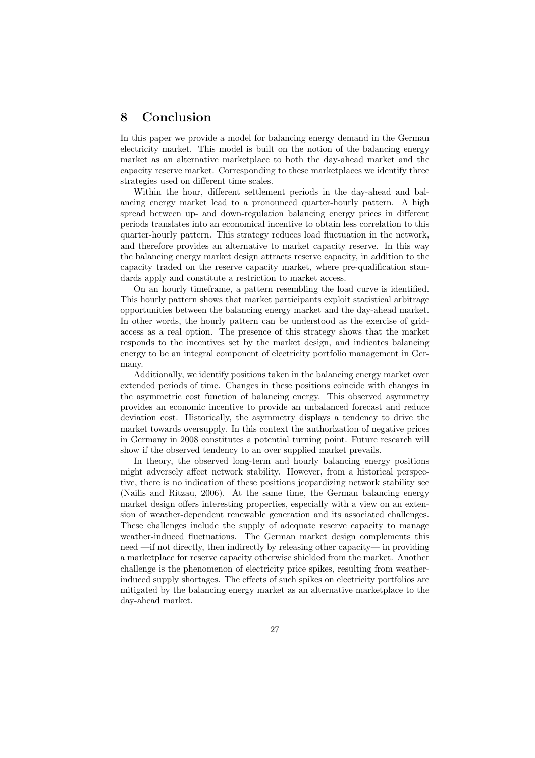## 8 Conclusion

In this paper we provide a model for balancing energy demand in the German electricity market. This model is built on the notion of the balancing energy market as an alternative marketplace to both the day-ahead market and the capacity reserve market. Corresponding to these marketplaces we identify three strategies used on different time scales.

Within the hour, different settlement periods in the day-ahead and balancing energy market lead to a pronounced quarter-hourly pattern. A high spread between up- and down-regulation balancing energy prices in different periods translates into an economical incentive to obtain less correlation to this quarter-hourly pattern. This strategy reduces load fluctuation in the network, and therefore provides an alternative to market capacity reserve. In this way the balancing energy market design attracts reserve capacity, in addition to the capacity traded on the reserve capacity market, where pre-qualification standards apply and constitute a restriction to market access.

On an hourly timeframe, a pattern resembling the load curve is identified. This hourly pattern shows that market participants exploit statistical arbitrage opportunities between the balancing energy market and the day-ahead market. In other words, the hourly pattern can be understood as the exercise of gridaccess as a real option. The presence of this strategy shows that the market responds to the incentives set by the market design, and indicates balancing energy to be an integral component of electricity portfolio management in Germany.

Additionally, we identify positions taken in the balancing energy market over extended periods of time. Changes in these positions coincide with changes in the asymmetric cost function of balancing energy. This observed asymmetry provides an economic incentive to provide an unbalanced forecast and reduce deviation cost. Historically, the asymmetry displays a tendency to drive the market towards oversupply. In this context the authorization of negative prices in Germany in 2008 constitutes a potential turning point. Future research will show if the observed tendency to an over supplied market prevails.

In theory, the observed long-term and hourly balancing energy positions might adversely affect network stability. However, from a historical perspective, there is no indication of these positions jeopardizing network stability see (Nailis and Ritzau, 2006). At the same time, the German balancing energy market design offers interesting properties, especially with a view on an extension of weather-dependent renewable generation and its associated challenges. These challenges include the supply of adequate reserve capacity to manage weather-induced fluctuations. The German market design complements this need —if not directly, then indirectly by releasing other capacity— in providing a marketplace for reserve capacity otherwise shielded from the market. Another challenge is the phenomenon of electricity price spikes, resulting from weatherinduced supply shortages. The effects of such spikes on electricity portfolios are mitigated by the balancing energy market as an alternative marketplace to the day-ahead market.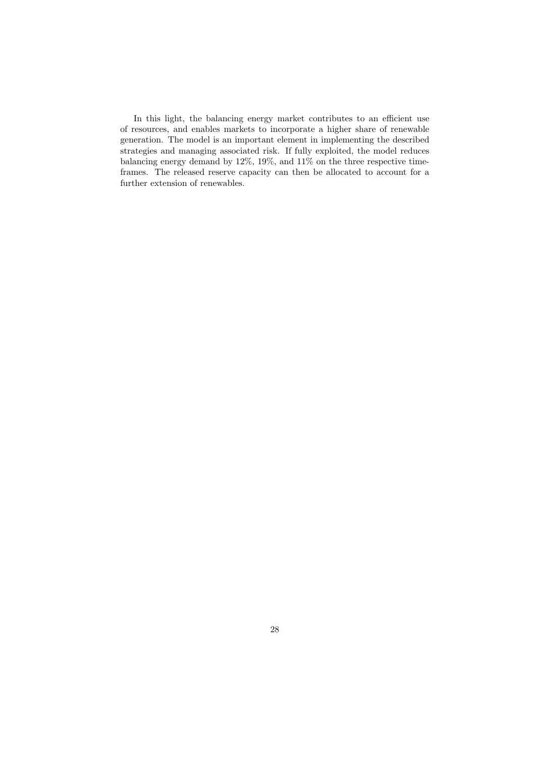In this light, the balancing energy market contributes to an efficient use of resources, and enables markets to incorporate a higher share of renewable generation. The model is an important element in implementing the described strategies and managing associated risk. If fully exploited, the model reduces balancing energy demand by 12%, 19%, and 11% on the three respective timeframes. The released reserve capacity can then be allocated to account for a further extension of renewables.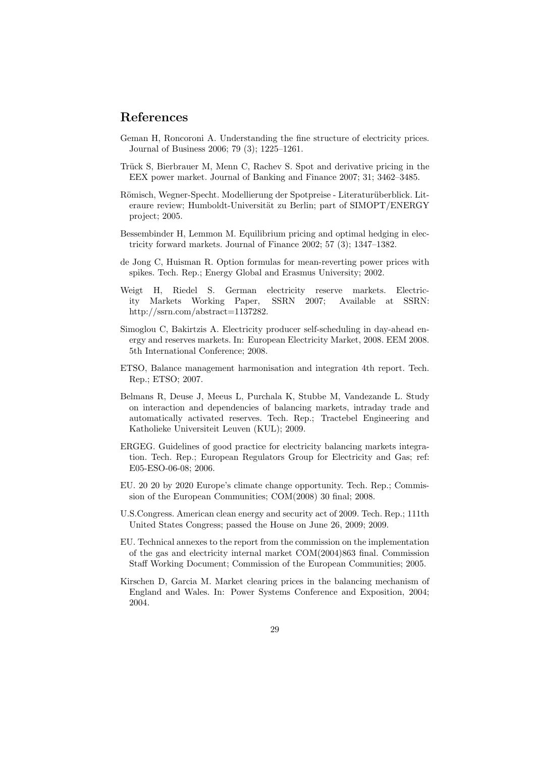# References

- Geman H, Roncoroni A. Understanding the fine structure of electricity prices. Journal of Business 2006; 79 (3); 1225–1261.
- Trück S, Bierbrauer M, Menn C, Rachev S. Spot and derivative pricing in the EEX power market. Journal of Banking and Finance 2007; 31; 3462–3485.
- Römisch, Wegner-Specht. Modellierung der Spotpreise Literaturüberblick. Literaure review; Humboldt-Universität zu Berlin; part of SIMOPT/ENERGY project; 2005.
- Bessembinder H, Lemmon M. Equilibrium pricing and optimal hedging in electricity forward markets. Journal of Finance 2002; 57 (3); 1347–1382.
- de Jong C, Huisman R. Option formulas for mean-reverting power prices with spikes. Tech. Rep.; Energy Global and Erasmus University; 2002.
- Weigt H, Riedel S. German electricity reserve markets. Electricity Markets Working Paper, SSRN 2007; Available at SSRN: http://ssrn.com/abstract=1137282.
- Simoglou C, Bakirtzis A. Electricity producer self-scheduling in day-ahead energy and reserves markets. In: European Electricity Market, 2008. EEM 2008. 5th International Conference; 2008.
- ETSO, Balance management harmonisation and integration 4th report. Tech. Rep.; ETSO; 2007.
- Belmans R, Deuse J, Meeus L, Purchala K, Stubbe M, Vandezande L. Study on interaction and dependencies of balancing markets, intraday trade and automatically activated reserves. Tech. Rep.; Tractebel Engineering and Katholieke Universiteit Leuven (KUL); 2009.
- ERGEG. Guidelines of good practice for electricity balancing markets integration. Tech. Rep.; European Regulators Group for Electricity and Gas; ref: E05-ESO-06-08; 2006.
- EU. 20 20 by 2020 Europe's climate change opportunity. Tech. Rep.; Commission of the European Communities; COM(2008) 30 final; 2008.
- U.S.Congress. American clean energy and security act of 2009. Tech. Rep.; 111th United States Congress; passed the House on June 26, 2009; 2009.
- EU. Technical annexes to the report from the commission on the implementation of the gas and electricity internal market COM(2004)863 final. Commission Staff Working Document; Commission of the European Communities; 2005.
- Kirschen D, Garcia M. Market clearing prices in the balancing mechanism of England and Wales. In: Power Systems Conference and Exposition, 2004; 2004.